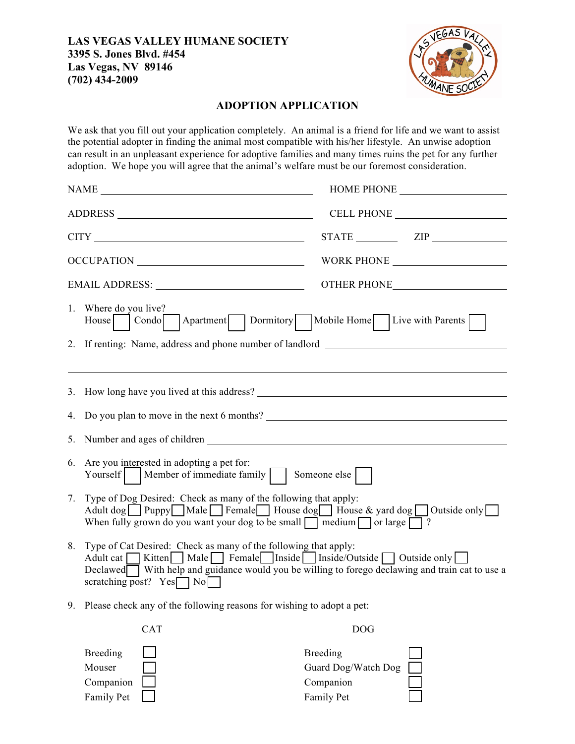## **LAS VEGAS VALLEY HUMANE SOCIETY 3395 S. Jones Blvd. #454 Las Vegas, NV 89146 (702) 434-2009**



## **ADOPTION APPLICATION**

We ask that you fill out your application completely. An animal is a friend for life and we want to assist the potential adopter in finding the animal most compatible with his/her lifestyle. An unwise adoption can result in an unpleasant experience for adoptive families and many times ruins the pet for any further adoption. We hope you will agree that the animal's welfare must be our foremost consideration.

|    | NAME                                                                                                                                                                                                                                                                                                                       |  |  |  |
|----|----------------------------------------------------------------------------------------------------------------------------------------------------------------------------------------------------------------------------------------------------------------------------------------------------------------------------|--|--|--|
|    | ADDRESS                                                                                                                                                                                                                                                                                                                    |  |  |  |
|    |                                                                                                                                                                                                                                                                                                                            |  |  |  |
|    | OCCUPATION                                                                                                                                                                                                                                                                                                                 |  |  |  |
|    |                                                                                                                                                                                                                                                                                                                            |  |  |  |
|    | 1. Where do you live?<br>House Condo Apartment Dormitory Mobile Home Live with Parents                                                                                                                                                                                                                                     |  |  |  |
|    | 2. If renting: Name, address and phone number of landlord _______________________                                                                                                                                                                                                                                          |  |  |  |
|    | 3. How long have you lived at this address?                                                                                                                                                                                                                                                                                |  |  |  |
|    | 4. Do you plan to move in the next 6 months?                                                                                                                                                                                                                                                                               |  |  |  |
| 5. |                                                                                                                                                                                                                                                                                                                            |  |  |  |
| 6. | Are you interested in adopting a pet for:<br>Someone else<br>Yourself   Member of immediate family                                                                                                                                                                                                                         |  |  |  |
| 7. | Type of Dog Desired: Check as many of the following that apply:<br>Adult dog Puppy Male Female House dog House & yard dog Outside only<br>When fully grown do you want your dog to be small $\Box$ medium $\Box$ or large $\Box$ ?                                                                                         |  |  |  |
| 8. | Type of Cat Desired: Check as many of the following that apply:<br>Adult cat $\Box$ Kitten $\Box$ Male $\Box$ Female Inside $\Box$ Inside/Outside $\Box$ Outside only $\Box$<br>Declawed With help and guidance would you be willing to forego declawing and train cat to use a<br>scratching post? $Yes \rceil No \rceil$ |  |  |  |
| 9. | Please check any of the following reasons for wishing to adopt a pet:                                                                                                                                                                                                                                                      |  |  |  |
|    | <b>CAT</b><br><b>DOG</b>                                                                                                                                                                                                                                                                                                   |  |  |  |
|    | <b>Breeding</b><br><b>Breeding</b><br>Mouser<br>Guard Dog/Watch Dog<br>Companion<br>Companion                                                                                                                                                                                                                              |  |  |  |

Family Pet **Family Pet** Family Pet